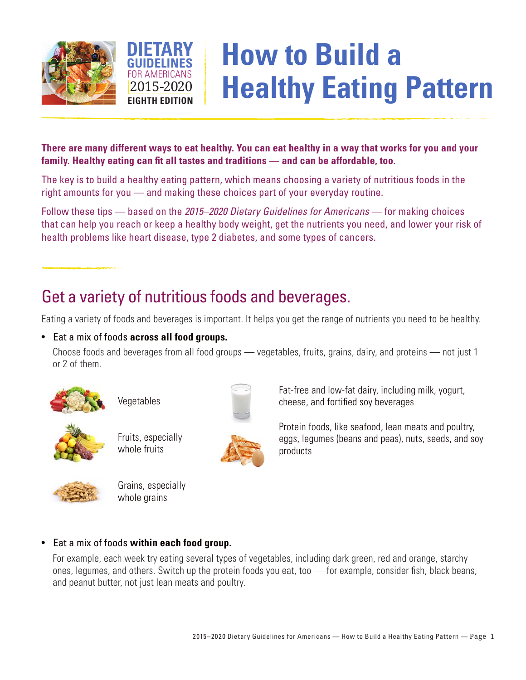



# **How to Build a Healthy Eating Pattern**

#### **There are many different ways to eat healthy. You can eat healthy in a way that works for you and your family. Healthy eating can fit all tastes and traditions — and can be affordable, too.**

The key is to build a healthy eating pattern, which means choosing a variety of nutritious foods in the right amounts for you — and making these choices part of your everyday routine.

Follow these tips — based on the *2015–2020 Dietary Guidelines for Americans* — for making choices that can help you reach or keep a healthy body weight, get the nutrients you need, and lower your risk of health problems like heart disease, type 2 diabetes, and some types of cancers.

## Get a variety of nutritious foods and beverages.

Eating a variety of foods and beverages is important. It helps you get the range of nutrients you need to be healthy.

#### • Eat a mix of foods **across all food groups.**

Choose foods and beverages from all food groups — vegetables, fruits, grains, dairy, and proteins — not just 1 or 2 of them.



Vegetables



Fruits, especially whole fruits



Fat-free and low-fat dairy, including milk, yogurt, cheese, and fortified soy beverages

Protein foods, like seafood, lean meats and poultry, eggs, legumes (beans and peas), nuts, seeds, and soy products



Grains, especially whole grains

#### • Eat a mix of foods **within each food group.**

For example, each week try eating several types of vegetables, including dark green, red and orange, starchy ones, legumes, and others. Switch up the protein foods you eat, too — for example, consider fish, black beans, and peanut butter, not just lean meats and poultry.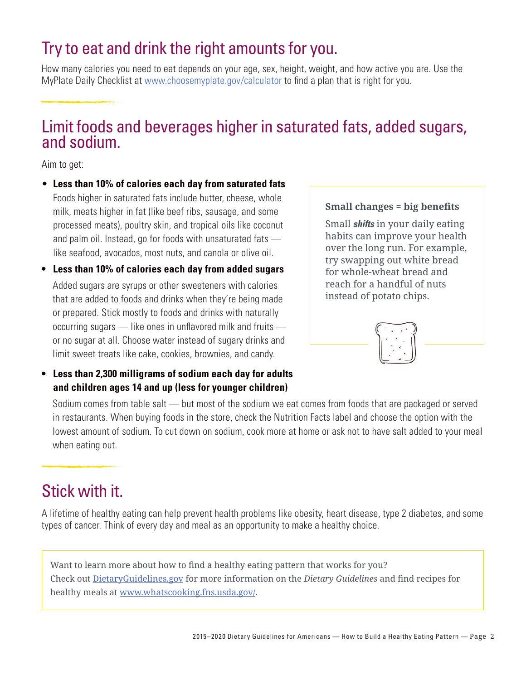### Try to eat and drink the right amounts for you.

How many calories you need to eat depends on your age, sex, height, weight, and how active you are. Use the MyPlate Daily Checklist at [www.choosemyplate.gov/calculator](https://www.choosemyplate.gov/calculator) to find a plan that is right for you.

### Limit foods and beverages higher in saturated fats, added sugars, and sodium.

Aim to get:

- • **Less than 10% of calories each day from saturated fats**  Foods higher in saturated fats include butter, cheese, whole milk, meats higher in fat (like beef ribs, sausage, and some processed meats), poultry skin, and tropical oils like coconut and palm oil. Instead, go for foods with unsaturated fats like seafood, avocados, most nuts, and canola or olive oil.
- **• Less than 10% of calories each day from added sugars**  Added sugars are syrups or other sweeteners with calories that are added to foods and drinks when they're being made or prepared. Stick mostly to foods and drinks with naturally occurring sugars — like ones in unflavored milk and fruits or no sugar at all. Choose water instead of sugary drinks and limit sweet treats like cake, cookies, brownies, and candy.
- **• Less than 2,300 milligrams of sodium each day for adults and children ages 14 and up (less for younger children)**

#### **Small changes = big benefits**

Small *shifts* in your daily eating habits can improve your health over the long run. For example, try swapping out white bread for whole-wheat bread and reach for a handful of nuts instead of potato chips.



Sodium comes from table salt — but most of the sodium we eat comes from foods that are packaged or served in restaurants. When buying foods in the store, check the Nutrition Facts label and choose the option with the lowest amount of sodium. To cut down on sodium, cook more at home or ask not to have salt added to your meal when eating out.

### Stick with it.

A lifetime of healthy eating can help prevent health problems like obesity, heart disease, type 2 diabetes, and some types of cancer. Think of every day and meal as an opportunity to make a healthy choice.

Want to learn more about how to find a healthy eating pattern that works for you? Check out [DietaryGuidelines.gov](https://health.gov/dietaryguidelines/) for more information on the *Dietary Guidelines* and find recipes for healthy meals at [www.whatscooking.fns.usda.gov/](http://www.whatscooking.fns.usda.gov/).